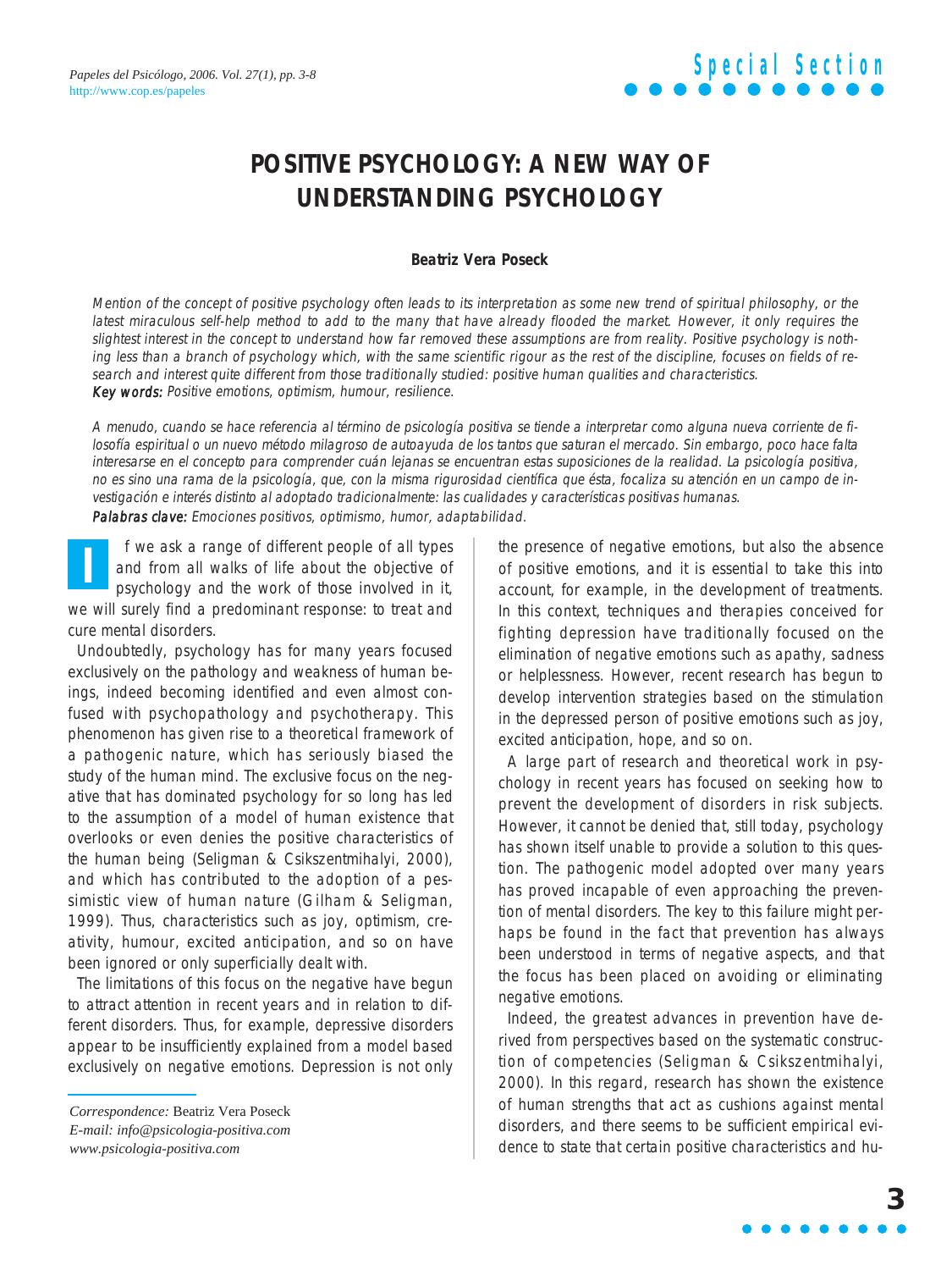### **POSITIVE PSYCHOLOGY: A NEW WAY OF UNDERSTANDING PSYCHOLOGY**

#### **Beatriz Vera Poseck**

Mention of the concept of positive psychology often leads to its interpretation as some new trend of spiritual philosophy, or the latest miraculous self-help method to add to the many that have already flooded the market. However, it only requires the slightest interest in the concept to understand how far removed these assumptions are from reality. Positive psychology is nothing less than a branch of psychology which, with the same scientific rigour as the rest of the discipline, focuses on fields of research and interest quite different from those traditionally studied: positive human qualities and characteristics. Key words: Positive emotions, optimism, humour, resilience.

A menudo, cuando se hace referencia al término de psicología positiva se tiende a interpretar como alguna nueva corriente de filosofía espiritual o un nuevo método milagroso de autoayuda de los tantos que saturan el mercado. Sin embargo, poco hace falta interesarse en el concepto para comprender cuán lejanas se encuentran estas suposiciones de la realidad. La psicología positiva, no es sino una rama de la psicología, que, con la misma rigurosidad científica que ésta, focaliza su atención en un campo de investigación e interés distinto al adoptado tradicionalmente: las cualidades y características positivas humanas. Palabras clave: Emociones positivos, optimismo, humor, adaptabilidad.

f we ask a range of different people of all types and from all walks of life about the objective of psychology and the work of those involved in it, we will surely find a predominant response: to treat and cure mental disorders. **I**

Undoubtedly, psychology has for many years focused exclusively on the pathology and weakness of human beings, indeed becoming identified and even almost confused with psychopathology and psychotherapy. This phenomenon has given rise to a theoretical framework of a pathogenic nature, which has seriously biased the study of the human mind. The exclusive focus on the negative that has dominated psychology for so long has led to the assumption of a model of human existence that overlooks or even denies the positive characteristics of the human being (Seligman & Csikszentmihalyi, 2000), and which has contributed to the adoption of a pessimistic view of human nature (Gilham & Seligman, 1999). Thus, characteristics such as joy, optimism, creativity, humour, excited anticipation, and so on have been ignored or only superficially dealt with.

The limitations of this focus on the negative have begun to attract attention in recent years and in relation to different disorders. Thus, for example, depressive disorders appear to be insufficiently explained from a model based exclusively on negative emotions. Depression is not only the presence of negative emotions, but also the absence of positive emotions, and it is essential to take this into account, for example, in the development of treatments. In this context, techniques and therapies conceived for fighting depression have traditionally focused on the elimination of negative emotions such as apathy, sadness or helplessness. However, recent research has begun to develop intervention strategies based on the stimulation in the depressed person of positive emotions such as joy, excited anticipation, hope, and so on.

A large part of research and theoretical work in psychology in recent years has focused on seeking how to prevent the development of disorders in risk subjects. However, it cannot be denied that, still today, psychology has shown itself unable to provide a solution to this question. The pathogenic model adopted over many years has proved incapable of even approaching the prevention of mental disorders. The key to this failure might perhaps be found in the fact that prevention has always been understood in terms of negative aspects, and that the focus has been placed on avoiding or eliminating negative emotions.

Indeed, the greatest advances in prevention have derived from perspectives based on the systematic construction of competencies (Seligman & Csikszentmihalyi, 2000). In this regard, research has shown the existence of human strengths that act as cushions against mental disorders, and there seems to be sufficient empirical evidence to state that certain positive characteristics and hu-

*Correspondence:* Beatriz Vera Poseck *E-mail: info@psicologia-positiva.com www.psicologia-positiva.com*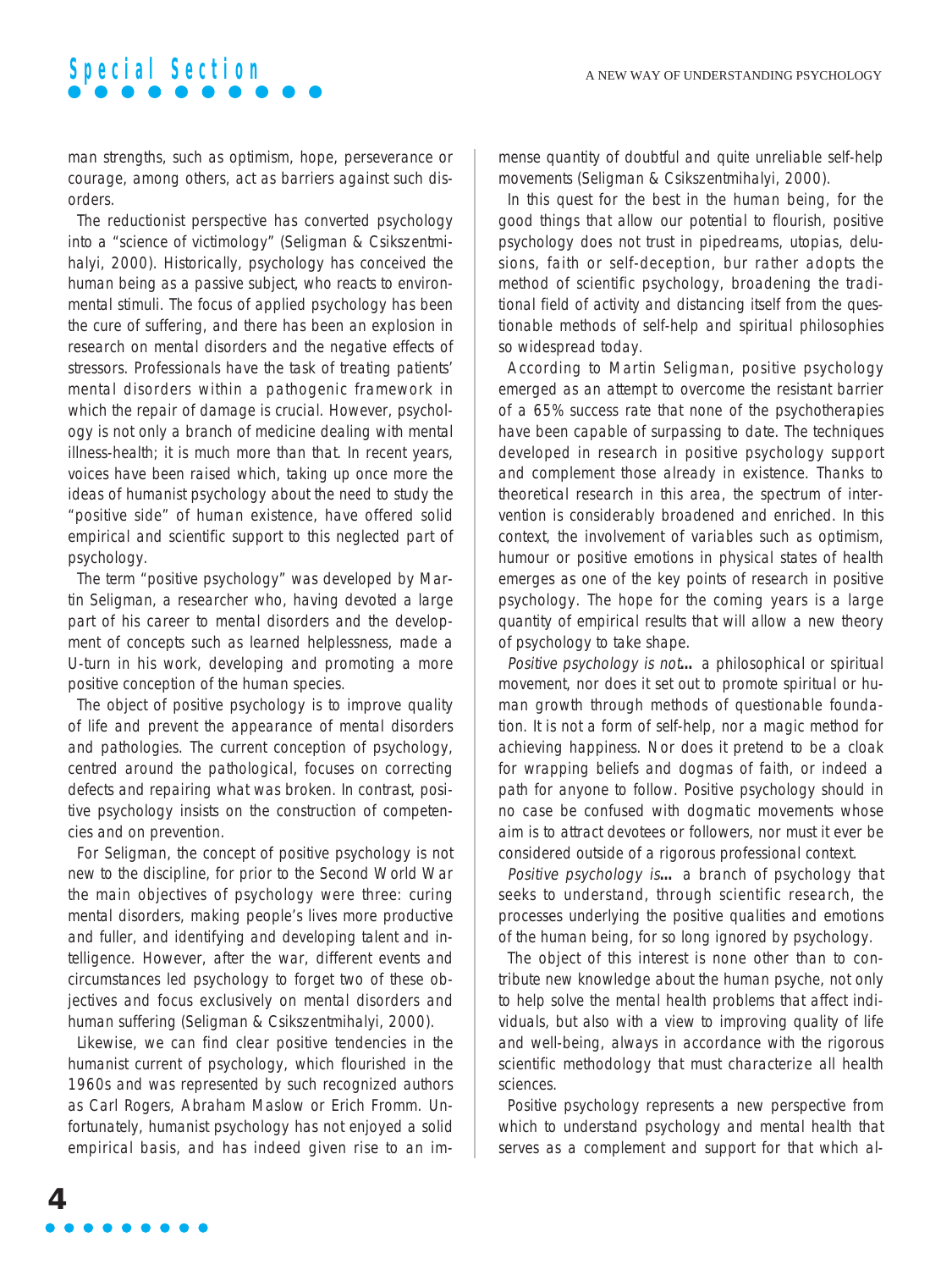### **Special Section**

man strengths, such as optimism, hope, perseverance or courage, among others, act as barriers against such disorders.

The reductionist perspective has converted psychology into a "science of victimology" (Seligman & Csikszentmihalyi, 2000). Historically, psychology has conceived the human being as a passive subject, who reacts to environmental stimuli. The focus of applied psychology has been the cure of suffering, and there has been an explosion in research on mental disorders and the negative effects of stressors. Professionals have the task of treating patients' mental disorders within a pathogenic framework in which the repair of damage is crucial. However, psychology is not only a branch of medicine dealing with mental illness-health; it is much more than that. In recent years, voices have been raised which, taking up once more the ideas of humanist psychology about the need to study the "positive side" of human existence, have offered solid empirical and scientific support to this neglected part of psychology.

The term "positive psychology" was developed by Martin Seligman, a researcher who, having devoted a large part of his career to mental disorders and the development of concepts such as learned helplessness, made a U-turn in his work, developing and promoting a more positive conception of the human species.

The object of positive psychology is to improve quality of life and prevent the appearance of mental disorders and pathologies. The current conception of psychology, centred around the pathological, focuses on correcting defects and repairing what was broken. In contrast, positive psychology insists on the construction of competencies and on prevention.

For Seligman, the concept of positive psychology is not new to the discipline, for prior to the Second World War the main objectives of psychology were three: curing mental disorders, making people's lives more productive and fuller, and identifying and developing talent and intelligence. However, after the war, different events and circumstances led psychology to forget two of these objectives and focus exclusively on mental disorders and human suffering (Seligman & Csikszentmihalyi, 2000).

Likewise, we can find clear positive tendencies in the humanist current of psychology, which flourished in the 1960s and was represented by such recognized authors as Carl Rogers, Abraham Maslow or Erich Fromm. Unfortunately, humanist psychology has not enjoyed a solid empirical basis, and has indeed given rise to an immense quantity of doubtful and quite unreliable self-help movements (Seligman & Csikszentmihalyi, 2000).

In this quest for the best in the human being, for the good things that allow our potential to flourish, positive psychology does not trust in pipedreams, utopias, delusions, faith or self-deception, bur rather adopts the method of scientific psychology, broadening the traditional field of activity and distancing itself from the questionable methods of self-help and spiritual philosophies so widespread today.

According to Martin Seligman, positive psychology emerged as an attempt to overcome the resistant barrier of a 65% success rate that none of the psychotherapies have been capable of surpassing to date. The techniques developed in research in positive psychology support and complement those already in existence. Thanks to theoretical research in this area, the spectrum of intervention is considerably broadened and enriched. In this context, the involvement of variables such as optimism, humour or positive emotions in physical states of health emerges as one of the key points of research in positive psychology. The hope for the coming years is a large quantity of empirical results that will allow a new theory of psychology to take shape.

Positive psychology is not**…** a philosophical or spiritual movement, nor does it set out to promote spiritual or human growth through methods of questionable foundation. It is not a form of self-help, nor a magic method for achieving happiness. Nor does it pretend to be a cloak for wrapping beliefs and dogmas of faith, or indeed a path for anyone to follow. Positive psychology should in no case be confused with dogmatic movements whose aim is to attract devotees or followers, nor must it ever be considered outside of a rigorous professional context.

Positive psychology is**…** a branch of psychology that seeks to understand, through scientific research, the processes underlying the positive qualities and emotions of the human being, for so long ignored by psychology.

The object of this interest is none other than to contribute new knowledge about the human psyche, not only to help solve the mental health problems that affect individuals, but also with a view to improving quality of life and well-being, always in accordance with the rigorous scientific methodology that must characterize all health sciences.

Positive psychology represents a new perspective from which to understand psychology and mental health that serves as a complement and support for that which al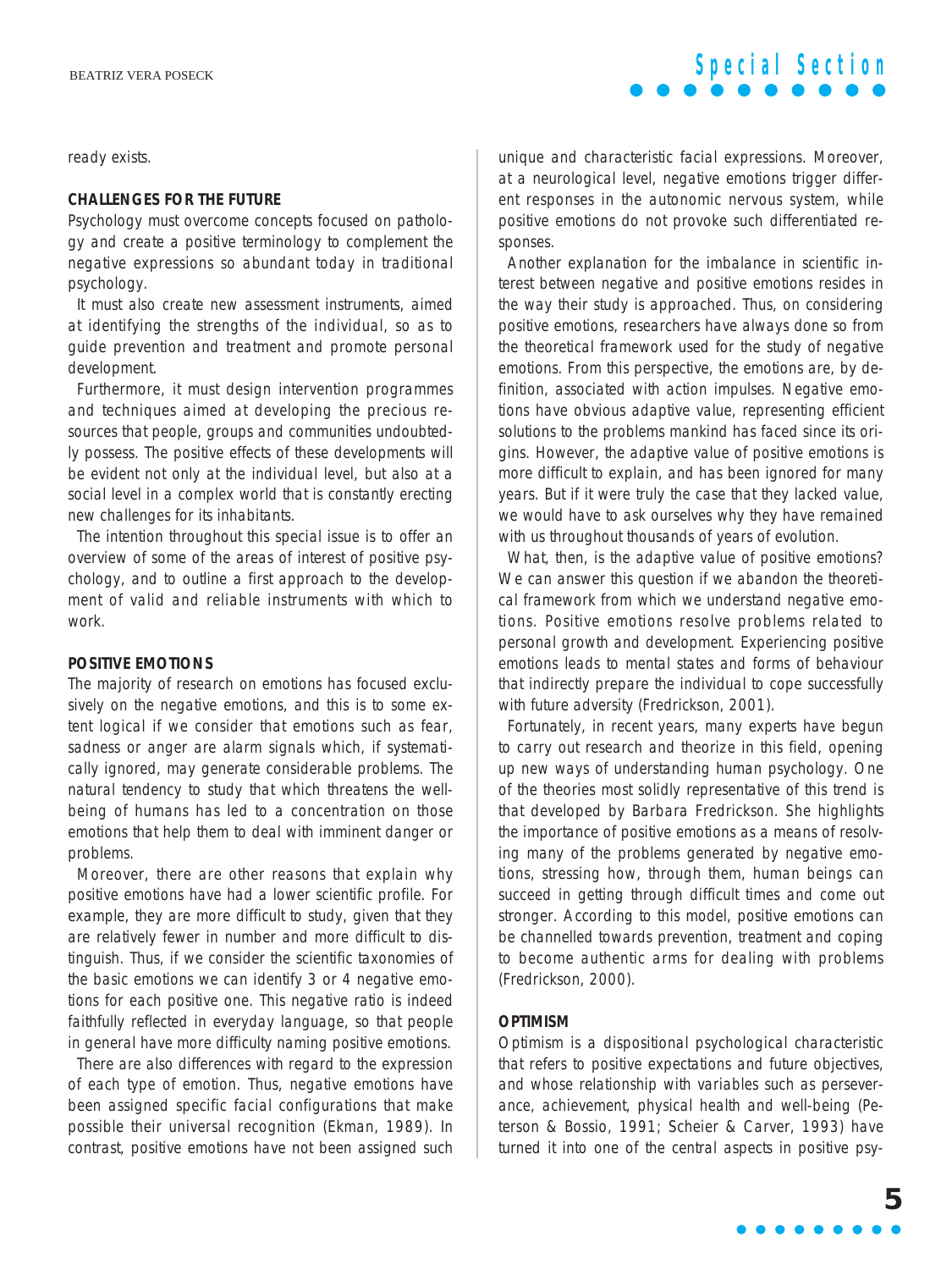ready exists.

#### **CHALLENGES FOR THE FUTURE**

Psychology must overcome concepts focused on pathology and create a positive terminology to complement the negative expressions so abundant today in traditional psychology.

It must also create new assessment instruments, aimed at identifying the strengths of the individual, so as to guide prevention and treatment and promote personal development.

Furthermore, it must design intervention programmes and techniques aimed at developing the precious resources that people, groups and communities undoubtedly possess. The positive effects of these developments will be evident not only at the individual level, but also at a social level in a complex world that is constantly erecting new challenges for its inhabitants.

The intention throughout this special issue is to offer an overview of some of the areas of interest of positive psychology, and to outline a first approach to the development of valid and reliable instruments with which to work.

#### **POSITIVE EMOTIONS**

The majority of research on emotions has focused exclusively on the negative emotions, and this is to some extent logical if we consider that emotions such as fear, sadness or anger are alarm signals which, if systematically ignored, may generate considerable problems. The natural tendency to study that which threatens the wellbeing of humans has led to a concentration on those emotions that help them to deal with imminent danger or problems.

Moreover, there are other reasons that explain why positive emotions have had a lower scientific profile. For example, they are more difficult to study, given that they are relatively fewer in number and more difficult to distinguish. Thus, if we consider the scientific taxonomies of the basic emotions we can identify 3 or 4 negative emotions for each positive one. This negative ratio is indeed faithfully reflected in everyday language, so that people in general have more difficulty naming positive emotions.

There are also differences with regard to the expression of each type of emotion. Thus, negative emotions have been assigned specific facial configurations that make possible their universal recognition (Ekman, 1989). In contrast, positive emotions have not been assigned such unique and characteristic facial expressions. Moreover, at a neurological level, negative emotions trigger different responses in the autonomic nervous system, while positive emotions do not provoke such differentiated responses.

**Special Section**

Another explanation for the imbalance in scientific interest between negative and positive emotions resides in the way their study is approached. Thus, on considering positive emotions, researchers have always done so from the theoretical framework used for the study of negative emotions. From this perspective, the emotions are, by definition, associated with action impulses. Negative emotions have obvious adaptive value, representing efficient solutions to the problems mankind has faced since its origins. However, the adaptive value of positive emotions is more difficult to explain, and has been ignored for many years. But if it were truly the case that they lacked value, we would have to ask ourselves why they have remained with us throughout thousands of years of evolution.

What, then, is the adaptive value of positive emotions? We can answer this question if we abandon the theoretical framework from which we understand negative emotions. Positive emotions resolve problems related to personal growth and development. Experiencing positive emotions leads to mental states and forms of behaviour that indirectly prepare the individual to cope successfully with future adversity (Fredrickson, 2001).

Fortunately, in recent years, many experts have begun to carry out research and theorize in this field, opening up new ways of understanding human psychology. One of the theories most solidly representative of this trend is that developed by Barbara Fredrickson. She highlights the importance of positive emotions as a means of resolving many of the problems generated by negative emotions, stressing how, through them, human beings can succeed in getting through difficult times and come out stronger. According to this model, positive emotions can be channelled towards prevention, treatment and coping to become authentic arms for dealing with problems (Fredrickson, 2000).

#### **OPTIMISM**

Optimism is a dispositional psychological characteristic that refers to positive expectations and future objectives, and whose relationship with variables such as perseverance, achievement, physical health and well-being (Peterson & Bossio, 1991; Scheier & Carver, 1993) have turned it into one of the central aspects in positive psy-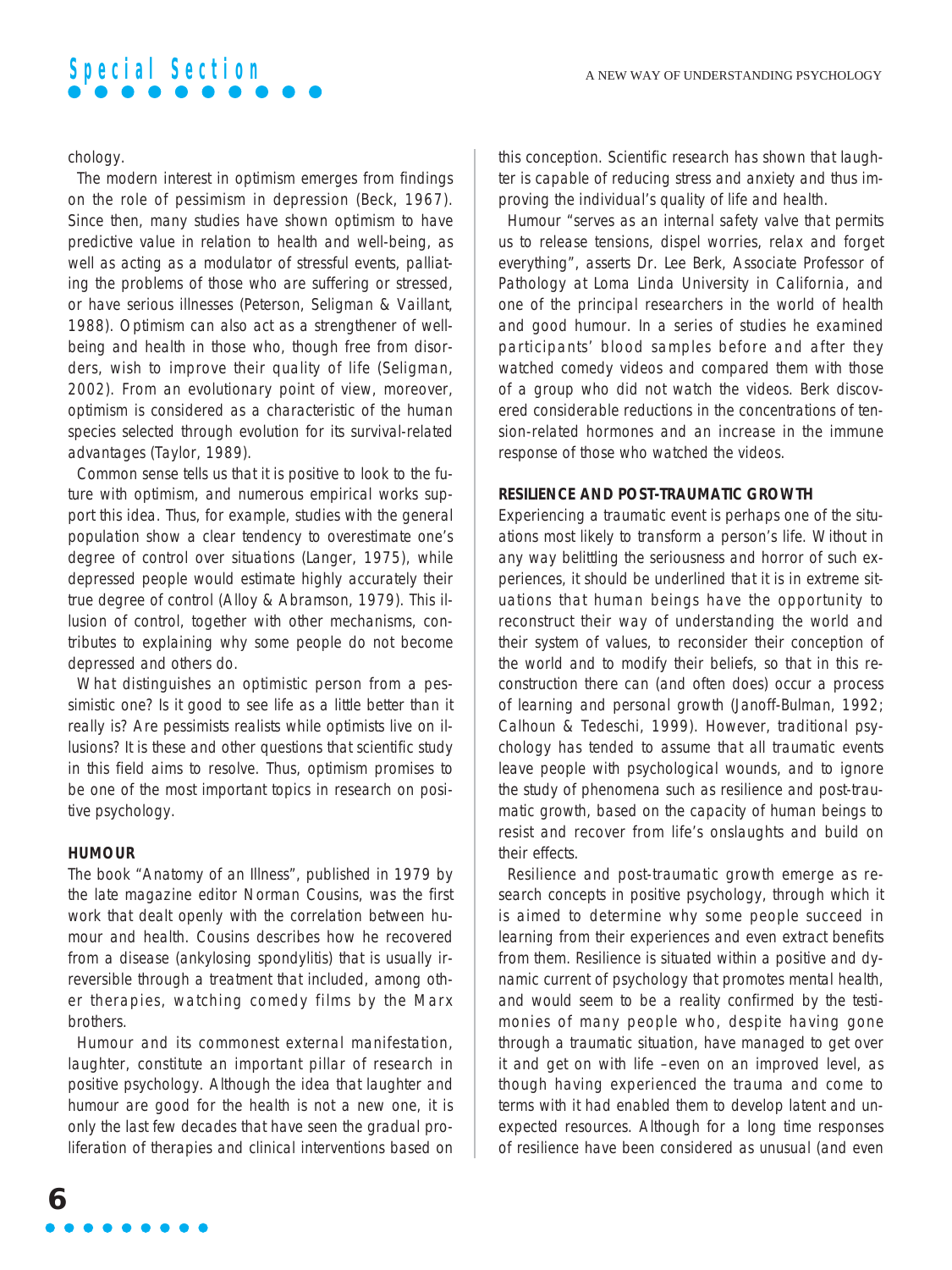# **Special Section**

#### chology.

The modern interest in optimism emerges from findings on the role of pessimism in depression (Beck, 1967). Since then, many studies have shown optimism to have predictive value in relation to health and well-being, as well as acting as a modulator of stressful events, palliating the problems of those who are suffering or stressed, or have serious illnesses (Peterson, Seligman & Vaillant, 1988). Optimism can also act as a strengthener of wellbeing and health in those who, though free from disorders, wish to improve their quality of life (Seligman, 2002). From an evolutionary point of view, moreover, optimism is considered as a characteristic of the human species selected through evolution for its survival-related advantages (Taylor, 1989).

Common sense tells us that it is positive to look to the future with optimism, and numerous empirical works support this idea. Thus, for example, studies with the general population show a clear tendency to overestimate one's degree of control over situations (Langer, 1975), while depressed people would estimate highly accurately their true degree of control (Alloy & Abramson, 1979). This illusion of control, together with other mechanisms, contributes to explaining why some people do not become depressed and others do.

What distinguishes an optimistic person from a pessimistic one? Is it good to see life as a little better than it really is? Are pessimists realists while optimists live on illusions? It is these and other questions that scientific study in this field aims to resolve. Thus, optimism promises to be one of the most important topics in research on positive psychology.

#### **HUMOUR**

The book "Anatomy of an Illness", published in 1979 by the late magazine editor Norman Cousins, was the first work that dealt openly with the correlation between humour and health. Cousins describes how he recovered from a disease (ankylosing spondylitis) that is usually irreversible through a treatment that included, among other therapies, watching comedy films by the Marx brothers.

Humour and its commonest external manifestation, laughter, constitute an important pillar of research in positive psychology. Although the idea that laughter and humour are good for the health is not a new one, it is only the last few decades that have seen the gradual proliferation of therapies and clinical interventions based on this conception. Scientific research has shown that laughter is capable of reducing stress and anxiety and thus improving the individual's quality of life and health.

Humour "serves as an internal safety valve that permits us to release tensions, dispel worries, relax and forget everything", asserts Dr. Lee Berk, Associate Professor of Pathology at Loma Linda University in California, and one of the principal researchers in the world of health and good humour. In a series of studies he examined participants' blood samples before and after they watched comedy videos and compared them with those of a group who did not watch the videos. Berk discovered considerable reductions in the concentrations of tension-related hormones and an increase in the immune response of those who watched the videos.

#### **RESILIENCE AND POST-TRAUMATIC GROWTH**

Experiencing a traumatic event is perhaps one of the situations most likely to transform a person's life. Without in any way belittling the seriousness and horror of such experiences, it should be underlined that it is in extreme situations that human beings have the opportunity to reconstruct their way of understanding the world and their system of values, to reconsider their conception of the world and to modify their beliefs, so that in this reconstruction there can (and often does) occur a process of learning and personal growth (Janoff-Bulman, 1992; Calhoun & Tedeschi, 1999). However, traditional psychology has tended to assume that all traumatic events leave people with psychological wounds, and to ignore the study of phenomena such as resilience and post-traumatic growth, based on the capacity of human beings to resist and recover from life's onslaughts and build on their effects.

Resilience and post-traumatic growth emerge as research concepts in positive psychology, through which it is aimed to determine why some people succeed in learning from their experiences and even extract benefits from them. Resilience is situated within a positive and dynamic current of psychology that promotes mental health, and would seem to be a reality confirmed by the testimonies of many people who, despite having gone through a traumatic situation, have managed to get over it and get on with life –even on an improved level, as though having experienced the trauma and come to terms with it had enabled them to develop latent and unexpected resources. Although for a long time responses of resilience have been considered as unusual (and even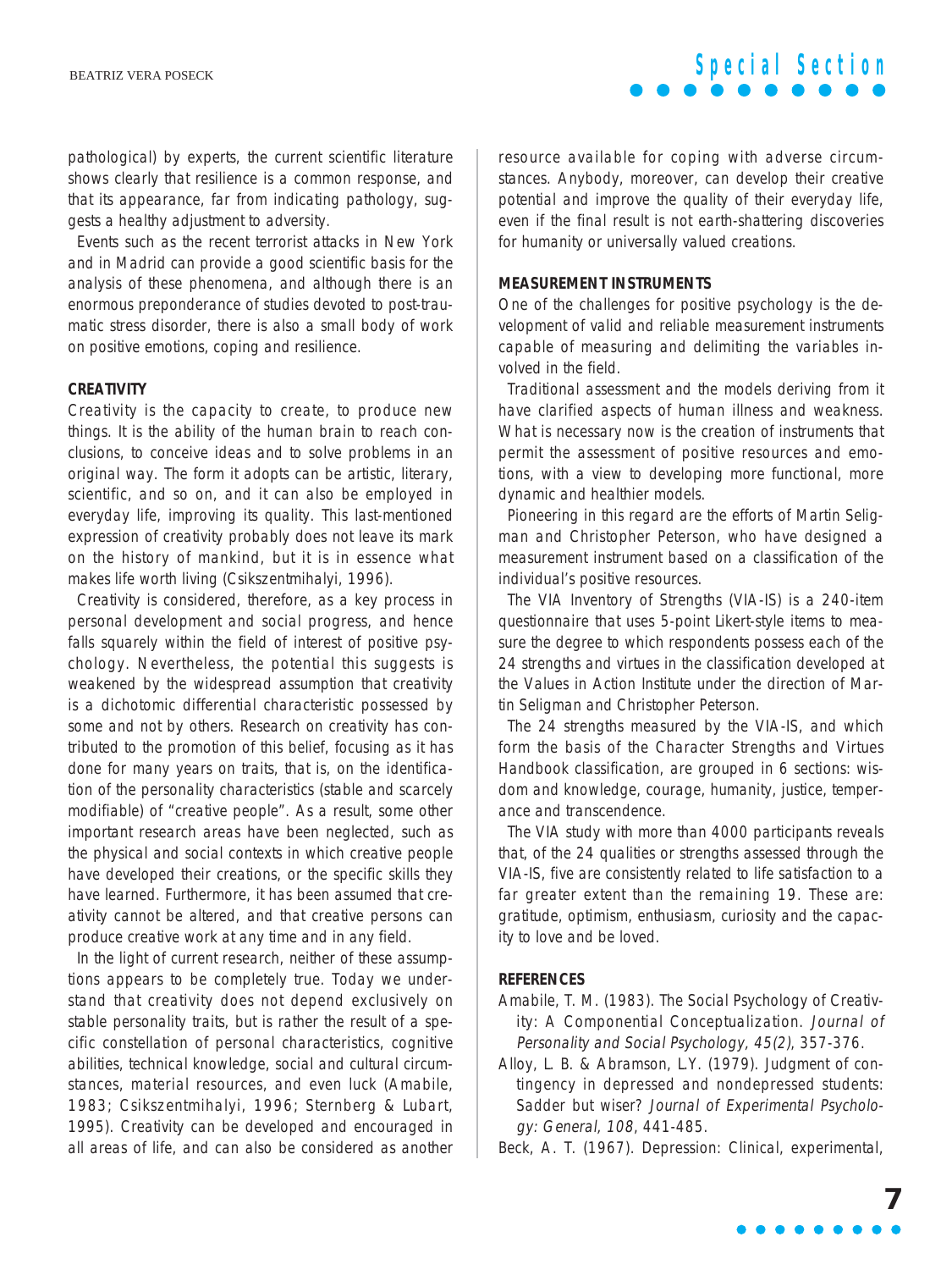## **Special Section**

pathological) by experts, the current scientific literature shows clearly that resilience is a common response, and that its appearance, far from indicating pathology, suggests a healthy adjustment to adversity.

Events such as the recent terrorist attacks in New York and in Madrid can provide a good scientific basis for the analysis of these phenomena, and although there is an enormous preponderance of studies devoted to post-traumatic stress disorder, there is also a small body of work on positive emotions, coping and resilience.

#### **CREATIVITY**

Creativity is the capacity to create, to produce new things. It is the ability of the human brain to reach conclusions, to conceive ideas and to solve problems in an original way. The form it adopts can be artistic, literary, scientific, and so on, and it can also be employed in everyday life, improving its quality. This last-mentioned expression of creativity probably does not leave its mark on the history of mankind, but it is in essence what makes life worth living (Csikszentmihalyi, 1996).

Creativity is considered, therefore, as a key process in personal development and social progress, and hence falls squarely within the field of interest of positive psychology. Nevertheless, the potential this suggests is weakened by the widespread assumption that creativity is a dichotomic differential characteristic possessed by some and not by others. Research on creativity has contributed to the promotion of this belief, focusing as it has done for many years on traits, that is, on the identification of the personality characteristics (stable and scarcely modifiable) of "creative people". As a result, some other important research areas have been neglected, such as the physical and social contexts in which creative people have developed their creations, or the specific skills they have learned. Furthermore, it has been assumed that creativity cannot be altered, and that creative persons can produce creative work at any time and in any field.

In the light of current research, neither of these assumptions appears to be completely true. Today we understand that creativity does not depend exclusively on stable personality traits, but is rather the result of a specific constellation of personal characteristics, cognitive abilities, technical knowledge, social and cultural circumstances, material resources, and even luck (Amabile, 1983; Csikszentmihalyi, 1996; Sternberg & Lubart, 1995). Creativity can be developed and encouraged in all areas of life, and can also be considered as another

resource available for coping with adverse circumstances. Anybody, moreover, can develop their creative potential and improve the quality of their everyday life, even if the final result is not earth-shattering discoveries for humanity or universally valued creations.

#### **MEASUREMENT INSTRUMENTS**

One of the challenges for positive psychology is the development of valid and reliable measurement instruments capable of measuring and delimiting the variables involved in the field.

Traditional assessment and the models deriving from it have clarified aspects of human illness and weakness. What is necessary now is the creation of instruments that permit the assessment of positive resources and emotions, with a view to developing more functional, more dynamic and healthier models.

Pioneering in this regard are the efforts of Martin Seligman and Christopher Peterson, who have designed a measurement instrument based on a classification of the individual's positive resources.

The VIA Inventory of Strengths (VIA-IS) is a 240-item questionnaire that uses 5-point Likert-style items to measure the degree to which respondents possess each of the 24 strengths and virtues in the classification developed at the Values in Action Institute under the direction of Martin Seligman and Christopher Peterson.

The 24 strengths measured by the VIA-IS, and which form the basis of the Character Strengths and Virtues Handbook classification, are grouped in 6 sections: wisdom and knowledge, courage, humanity, justice, temperance and transcendence.

The VIA study with more than 4000 participants reveals that, of the 24 qualities or strengths assessed through the VIA-IS, five are consistently related to life satisfaction to a far greater extent than the remaining 19. These are: gratitude, optimism, enthusiasm, curiosity and the capacity to love and be loved.

#### **REFERENCES**

- Amabile, T. M. (1983). The Social Psychology of Creativity: A Componential Conceptualization. Journal of Personality and Social Psychology, 45(2), 357-376.
- Alloy, L. B. & Abramson, L.Y. (1979). Judgment of contingency in depressed and nondepressed students: Sadder but wiser? Journal of Experimental Psychology: General, 108, 441-485.

Beck, A. T. (1967). Depression: Clinical, experimental,